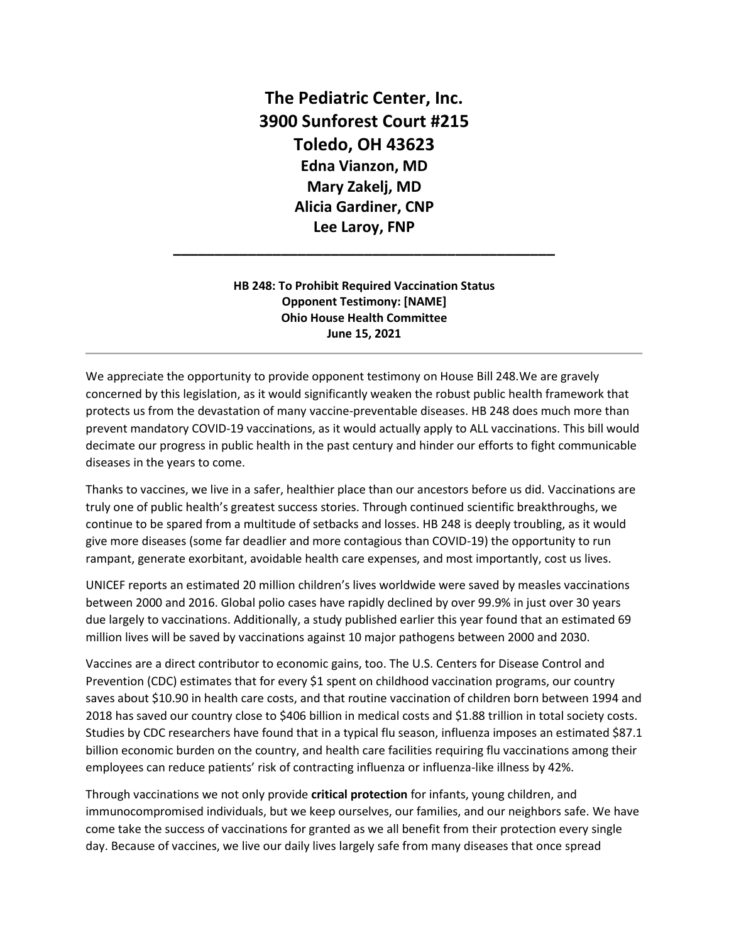**The Pediatric Center, Inc. 3900 Sunforest Court #215 Toledo, OH 43623 Edna Vianzon, MD Mary Zakelj, MD Alicia Gardiner, CNP Lee Laroy, FNP**

## **HB 248: To Prohibit Required Vaccination Status Opponent Testimony: [NAME] Ohio House Health Committee June 15, 2021**

**\_\_\_\_\_\_\_\_\_\_\_\_\_\_\_\_\_\_\_\_\_\_\_\_\_\_\_\_\_\_\_\_\_\_\_\_\_\_\_\_\_\_\_\_\_\_**

We appreciate the opportunity to provide opponent testimony on House Bill 248.We are gravely concerned by this legislation, as it would significantly weaken the robust public health framework that protects us from the devastation of many vaccine-preventable diseases. HB 248 does much more than prevent mandatory COVID-19 vaccinations, as it would actually apply to ALL vaccinations. This bill would decimate our progress in public health in the past century and hinder our efforts to fight communicable diseases in the years to come.

Thanks to vaccines, we live in a safer, healthier place than our ancestors before us did. Vaccinations are truly one of public health's greatest success stories. Through continued scientific breakthroughs, we continue to be spared from a multitude of setbacks and losses. HB 248 is deeply troubling, as it would give more diseases (some far deadlier and more contagious than COVID-19) the opportunity to run rampant, generate exorbitant, avoidable health care expenses, and most importantly, cost us lives.

UNICEF reports an estimated 20 million children's lives worldwide were saved by measles vaccinations between 2000 and 2016. Global polio cases have rapidly declined by over 99.9% in just over 30 years due largely to vaccinations. Additionally, a study published earlier this year found that an estimated 69 million lives will be saved by vaccinations against 10 major pathogens between 2000 and 2030.

Vaccines are a direct contributor to economic gains, too. The U.S. Centers for Disease Control and Prevention (CDC) estimates that for every \$1 spent on childhood vaccination programs, our country saves about \$10.90 in health care costs, and that routine vaccination of children born between 1994 and 2018 has saved our country close to \$406 billion in medical costs and \$1.88 trillion in total society costs. Studies by CDC researchers have found that in a typical flu season, influenza imposes an estimated \$87.1 billion economic burden on the country, and health care facilities requiring flu vaccinations among their employees can reduce patients' risk of contracting influenza or influenza-like illness by 42%.

Through vaccinations we not only provide **critical protection** for infants, young children, and immunocompromised individuals, but we keep ourselves, our families, and our neighbors safe. We have come take the success of vaccinations for granted as we all benefit from their protection every single day. Because of vaccines, we live our daily lives largely safe from many diseases that once spread